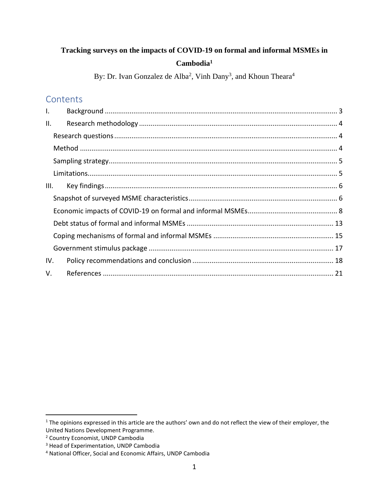# **Tracking surveys on the impacts of COVID-19 on formal and informal MSMEs in Cambodia<sup>1</sup>**

By: Dr. Ivan Gonzalez de Alba<sup>2</sup>, Vinh Dany<sup>3</sup>, and Khoun Theara<sup>4</sup>

## **Contents**

| $\mathsf{L}$ |  |  |  |  |  |
|--------------|--|--|--|--|--|
| II.          |  |  |  |  |  |
|              |  |  |  |  |  |
|              |  |  |  |  |  |
|              |  |  |  |  |  |
|              |  |  |  |  |  |
| III.         |  |  |  |  |  |
|              |  |  |  |  |  |
|              |  |  |  |  |  |
|              |  |  |  |  |  |
|              |  |  |  |  |  |
|              |  |  |  |  |  |
| IV.          |  |  |  |  |  |
| V.           |  |  |  |  |  |

<sup>&</sup>lt;sup>1</sup> The opinions expressed in this article are the authors' own and do not reflect the view of their employer, the United Nations Development Programme.

<sup>2</sup> Country Economist, UNDP Cambodia

<sup>3</sup> Head of Experimentation, UNDP Cambodia

<sup>4</sup> National Officer, Social and Economic Affairs, UNDP Cambodia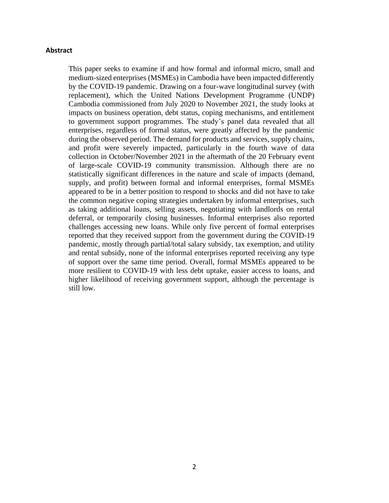## **Abstract**

This paper seeks to examine if and how formal and informal micro, small and medium-sized enterprises (MSMEs) in Cambodia have been impacted differently by the COVID-19 pandemic. Drawing on a four-wave longitudinal survey (with replacement), which the United Nations Development Programme (UNDP) Cambodia commissioned from July 2020 to November 2021, the study looks at impacts on business operation, debt status, coping mechanisms, and entitlement to government support programmes. The study's panel data revealed that all enterprises, regardless of formal status, were greatly affected by the pandemic during the observed period. The demand for products and services, supply chains, and profit were severely impacted, particularly in the fourth wave of data collection in October/November 2021 in the aftermath of the 20 February event of large-scale COVID-19 community transmission. Although there are no statistically significant differences in the nature and scale of impacts (demand, supply, and profit) between formal and informal enterprises, formal MSMEs appeared to be in a better position to respond to shocks and did not have to take the common negative coping strategies undertaken by informal enterprises, such as taking additional loans, selling assets, negotiating with landlords on rental deferral, or temporarily closing businesses. Informal enterprises also reported challenges accessing new loans. While only five percent of formal enterprises reported that they received support from the government during the COVID-19 pandemic, mostly through partial/total salary subsidy, tax exemption, and utility and rental subsidy, none of the informal enterprises reported receiving any type of support over the same time period. Overall, formal MSMEs appeared to be more resilient to COVID-19 with less debt uptake, easier access to loans, and higher likelihood of receiving government support, although the percentage is still low.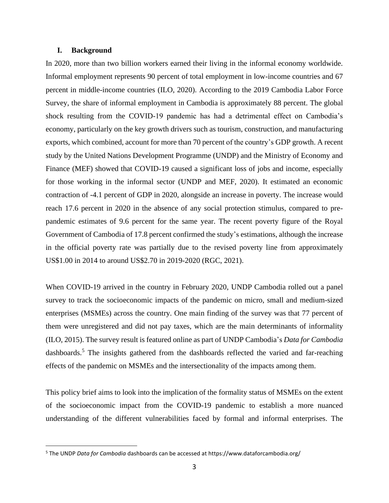### <span id="page-2-0"></span>**I. Background**

In 2020, more than two billion workers earned their living in the informal economy worldwide. Informal employment represents 90 percent of total employment in low-income countries and 67 percent in middle-income countries (ILO, 2020). According to the 2019 Cambodia Labor Force Survey, the share of informal employment in Cambodia is approximately 88 percent. The global shock resulting from the COVID-19 pandemic has had a detrimental effect on Cambodia's economy, particularly on the key growth drivers such as tourism, construction, and manufacturing exports, which combined, account for more than 70 percent of the country's GDP growth. A recent study by the United Nations Development Programme (UNDP) and the Ministry of Economy and Finance (MEF) showed that COVID-19 caused a significant loss of jobs and income, especially for those working in the informal sector (UNDP and MEF, 2020). It estimated an economic contraction of -4.1 percent of GDP in 2020, alongside an increase in poverty. The increase would reach 17.6 percent in 2020 in the absence of any social protection stimulus, compared to prepandemic estimates of 9.6 percent for the same year. The recent poverty figure of the Royal Government of Cambodia of 17.8 percent confirmed the study's estimations, although the increase in the official poverty rate was partially due to the revised poverty line from approximately US\$1.00 in 2014 to around US\$2.70 in 2019-2020 (RGC, 2021).

When COVID-19 arrived in the country in February 2020, UNDP Cambodia rolled out a panel survey to track the socioeconomic impacts of the pandemic on micro, small and medium-sized enterprises (MSMEs) across the country. One main finding of the survey was that 77 percent of them were unregistered and did not pay taxes, which are the main determinants of informality (ILO, 2015). The survey result is featured online as part of UNDP Cambodia's *Data for Cambodia* dashboards.<sup>5</sup> The insights gathered from the dashboards reflected the varied and far-reaching effects of the pandemic on MSMEs and the intersectionality of the impacts among them.

This policy brief aims to look into the implication of the formality status of MSMEs on the extent of the socioeconomic impact from the COVID-19 pandemic to establish a more nuanced understanding of the different vulnerabilities faced by formal and informal enterprises. The

<sup>5</sup> The UNDP *Data for Cambodia* dashboards can be accessed at https://www.dataforcambodia.org/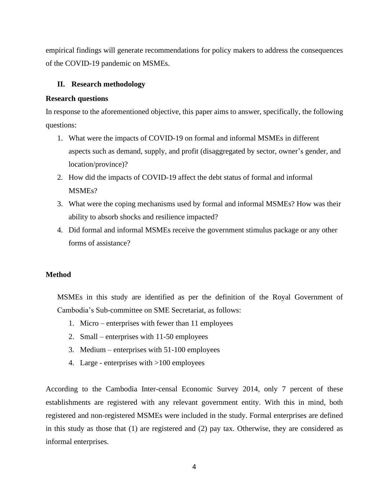empirical findings will generate recommendations for policy makers to address the consequences of the COVID-19 pandemic on MSMEs.

## <span id="page-3-0"></span>**II. Research methodology**

## <span id="page-3-1"></span>**Research questions**

In response to the aforementioned objective, this paper aims to answer, specifically, the following questions:

- 1. What were the impacts of COVID-19 on formal and informal MSMEs in different aspects such as demand, supply, and profit (disaggregated by sector, owner's gender, and location/province)?
- 2. How did the impacts of COVID-19 affect the debt status of formal and informal MSMEs?
- 3. What were the coping mechanisms used by formal and informal MSMEs? How was their ability to absorb shocks and resilience impacted?
- 4. Did formal and informal MSMEs receive the government stimulus package or any other forms of assistance?

## <span id="page-3-2"></span>**Method**

MSMEs in this study are identified as per the definition of the Royal Government of Cambodia's Sub-committee on SME Secretariat, as follows:

- 1. Micro enterprises with fewer than 11 employees
- 2. Small enterprises with 11-50 employees
- 3. Medium enterprises with 51-100 employees
- 4. Large enterprises with >100 employees

According to the Cambodia Inter-censal Economic Survey 2014, only 7 percent of these establishments are registered with any relevant government entity. With this in mind, both registered and non-registered MSMEs were included in the study. Formal enterprises are defined in this study as those that (1) are registered and (2) pay tax. Otherwise, they are considered as informal enterprises.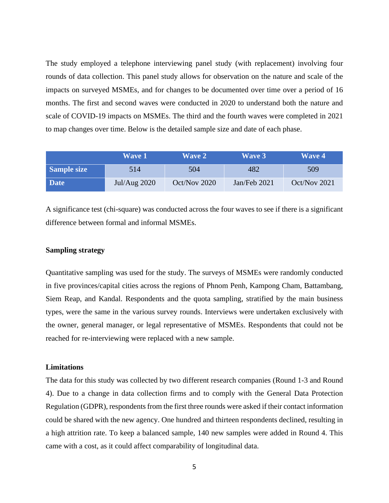The study employed a telephone interviewing panel study (with replacement) involving four rounds of data collection. This panel study allows for observation on the nature and scale of the impacts on surveyed MSMEs, and for changes to be documented over time over a period of 16 months. The first and second waves were conducted in 2020 to understand both the nature and scale of COVID-19 impacts on MSMEs. The third and the fourth waves were completed in 2021 to map changes over time. Below is the detailed sample size and date of each phase.

|             | <b>Wave 1</b> | <b>Wave 2</b> | <b>Wave 3</b> | <b>Wave 4</b> |
|-------------|---------------|---------------|---------------|---------------|
| Sample size | 514           | 504           | 482           | 509           |
| <b>Date</b> | Jul/Aug 2020  | Oct/Nov 2020  | Jan/Feb 2021  | Oct/Nov 2021  |

A significance test (chi-square) was conducted across the four waves to see if there is a significant difference between formal and informal MSMEs.

## <span id="page-4-0"></span>**Sampling strategy**

Quantitative sampling was used for the study. The surveys of MSMEs were randomly conducted in five provinces/capital cities across the regions of Phnom Penh, Kampong Cham, Battambang, Siem Reap, and Kandal. Respondents and the quota sampling, stratified by the main business types, were the same in the various survey rounds. Interviews were undertaken exclusively with the owner, general manager, or legal representative of MSMEs. Respondents that could not be reached for re-interviewing were replaced with a new sample.

## <span id="page-4-1"></span>**Limitations**

The data for this study was collected by two different research companies (Round 1-3 and Round 4). Due to a change in data collection firms and to comply with the General Data Protection Regulation (GDPR), respondents from the first three rounds were asked if their contact information could be shared with the new agency. One hundred and thirteen respondents declined, resulting in a high attrition rate. To keep a balanced sample, 140 new samples were added in Round 4. This came with a cost, as it could affect comparability of longitudinal data.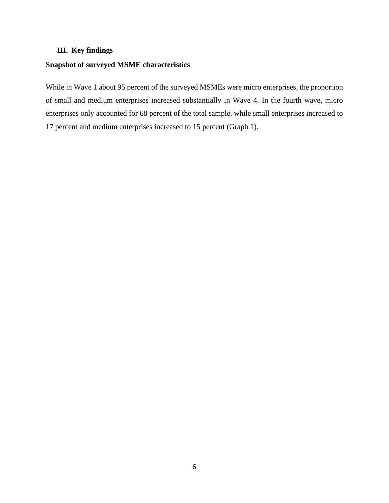## <span id="page-5-0"></span>**III. Key findings**

## <span id="page-5-1"></span>**Snapshot of surveyed MSME characteristics**

While in Wave 1 about 95 percent of the surveyed MSMEs were micro enterprises, the proportion of small and medium enterprises increased substantially in Wave 4. In the fourth wave, micro enterprises only accounted for 68 percent of the total sample, while small enterprises increased to 17 percent and medium enterprises increased to 15 percent (Graph 1).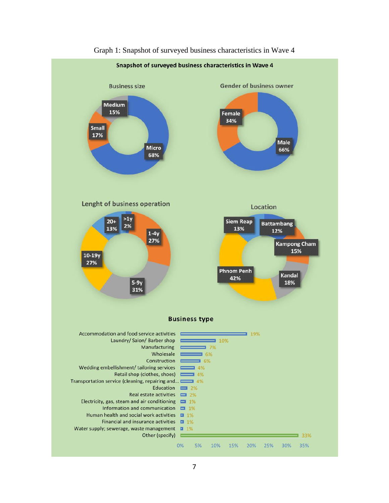

#### Graph 1: Snapshot of surveyed business characteristics in Wave 4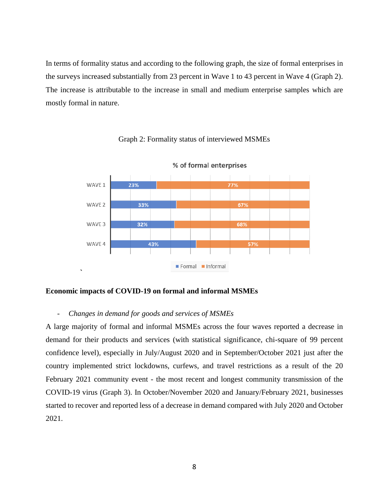In terms of formality status and according to the following graph, the size of formal enterprises in the surveys increased substantially from 23 percent in Wave 1 to 43 percent in Wave 4 (Graph 2). The increase is attributable to the increase in small and medium enterprise samples which are mostly formal in nature.

#### WAVE 1 23% 77% 33% WAVE 2 67% WAVE 3 32% 68% WAVE 4 43% 57% Formal Informal

## Graph 2: Formality status of interviewed MSMEs

% of formal enterprises

#### <span id="page-7-0"></span>**Economic impacts of COVID-19 on formal and informal MSMEs**

**`**

#### - *Changes in demand for goods and services of MSMEs*

A large majority of formal and informal MSMEs across the four waves reported a decrease in demand for their products and services (with statistical significance, chi-square of 99 percent confidence level), especially in July/August 2020 and in September/October 2021 just after the country implemented strict lockdowns, curfews, and travel restrictions as a result of the 20 February 2021 community event - the most recent and longest community transmission of the COVID-19 virus (Graph 3). In October/November 2020 and January/February 2021, businesses started to recover and reported less of a decrease in demand compared with July 2020 and October 2021.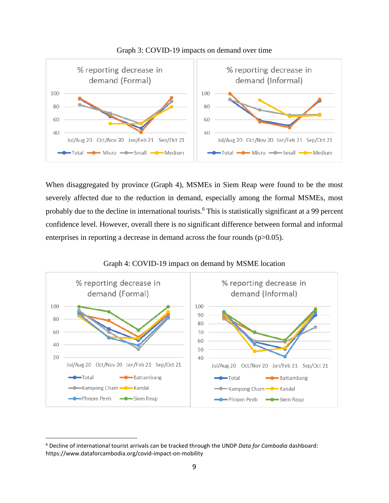



When disaggregated by province (Graph 4), MSMEs in Siem Reap were found to be the most severely affected due to the reduction in demand, especially among the formal MSMEs, most probably due to the decline in international tourists. <sup>6</sup> This is statistically significant at a 99 percent confidence level. However, overall there is no significant difference between formal and informal enterprises in reporting a decrease in demand across the four rounds (p>0.05).



Graph 4: COVID-19 impact on demand by MSME location

<sup>6</sup> Decline of international tourist arrivals can be tracked through the UNDP *Data for Cambodia* dashboard: https://www.dataforcambodia.org/covid-impact-on-mobility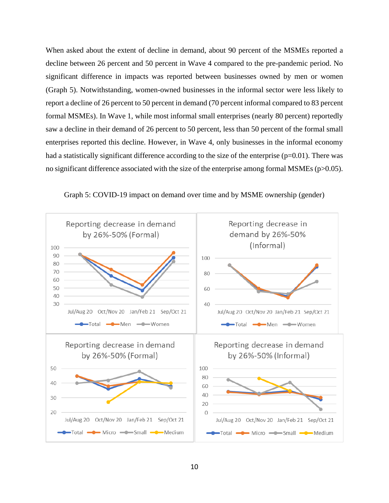When asked about the extent of decline in demand, about 90 percent of the MSMEs reported a decline between 26 percent and 50 percent in Wave 4 compared to the pre-pandemic period. No significant difference in impacts was reported between businesses owned by men or women (Graph 5). Notwithstanding, women-owned businesses in the informal sector were less likely to report a decline of 26 percent to 50 percent in demand (70 percent informal compared to 83 percent formal MSMEs). In Wave 1, while most informal small enterprises (nearly 80 percent) reportedly saw a decline in their demand of 26 percent to 50 percent, less than 50 percent of the formal small enterprises reported this decline. However, in Wave 4, only businesses in the informal economy had a statistically significant difference according to the size of the enterprise  $(p=0.01)$ . There was no significant difference associated with the size of the enterprise among formal MSMEs (p>0.05).



Graph 5: COVID-19 impact on demand over time and by MSME ownership (gender)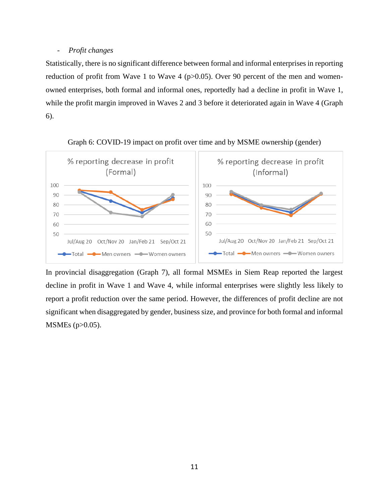## - *Profit changes*

Statistically, there is no significant difference between formal and informal enterprises in reporting reduction of profit from Wave 1 to Wave 4 ( $p>0.05$ ). Over 90 percent of the men and womenowned enterprises, both formal and informal ones, reportedly had a decline in profit in Wave 1, while the profit margin improved in Waves 2 and 3 before it deteriorated again in Wave 4 (Graph 6).





In provincial disaggregation (Graph 7), all formal MSMEs in Siem Reap reported the largest decline in profit in Wave 1 and Wave 4, while informal enterprises were slightly less likely to report a profit reduction over the same period. However, the differences of profit decline are not significant when disaggregated by gender, business size, and province for both formal and informal MSMEs (p>0.05).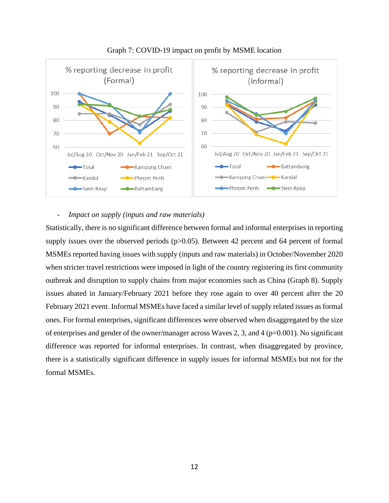



## - *Impact on supply (inputs and raw materials)*

Statistically, there is no significant difference between formal and informal enterprises in reporting supply issues over the observed periods  $(p>0.05)$ . Between 42 percent and 64 percent of formal MSMEs reported having issues with supply (inputs and raw materials) in October/November 2020 when stricter travel restrictions were imposed in light of the country registering its first community outbreak and disruption to supply chains from major economies such as China (Graph 8). Supply issues abated in January/February 2021 before they rose again to over 40 percent after the 20 February 2021 event. Informal MSMEs have faced a similar level of supply related issues as formal ones. For formal enterprises, significant differences were observed when disaggregated by the size of enterprises and gender of the owner/manager across Waves 2, 3, and 4 (p=0.001). No significant difference was reported for informal enterprises. In contrast, when disaggregated by province, there is a statistically significant difference in supply issues for informal MSMEs but not for the formal MSMEs.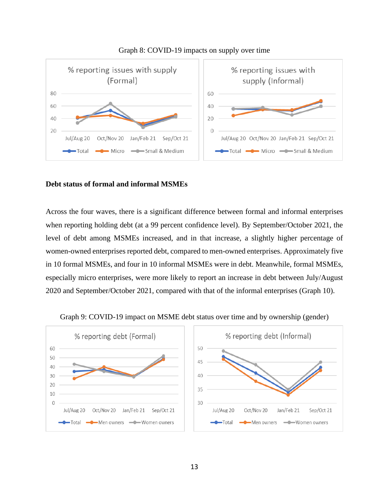

## Graph 8: COVID-19 impacts on supply over time

## <span id="page-12-0"></span>**Debt status of formal and informal MSMEs**

Across the four waves, there is a significant difference between formal and informal enterprises when reporting holding debt (at a 99 percent confidence level). By September/October 2021, the level of debt among MSMEs increased, and in that increase, a slightly higher percentage of women-owned enterprises reported debt, compared to men-owned enterprises. Approximately five in 10 formal MSMEs, and four in 10 informal MSMEs were in debt. Meanwhile, formal MSMEs, especially micro enterprises, were more likely to report an increase in debt between July/August 2020 and September/October 2021, compared with that of the informal enterprises (Graph 10).



Graph 9: COVID-19 impact on MSME debt status over time and by ownership (gender)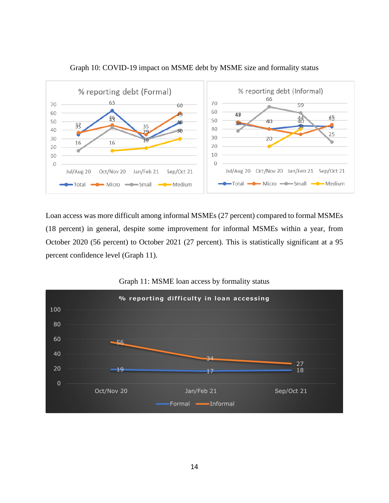

Graph 10: COVID-19 impact on MSME debt by MSME size and formality status

Loan access was more difficult among informal MSMEs (27 percent) compared to formal MSMEs (18 percent) in general, despite some improvement for informal MSMEs within a year, from October 2020 (56 percent) to October 2021 (27 percent). This is statistically significant at a 95 percent confidence level (Graph 11).



Graph 11: MSME loan access by formality status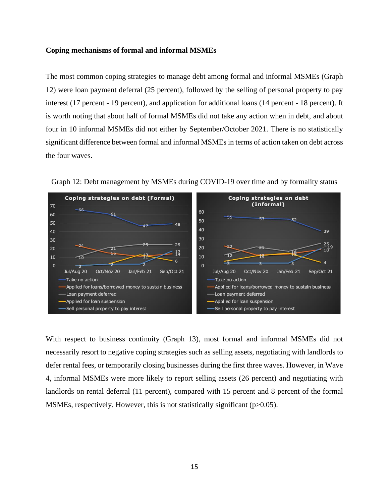### <span id="page-14-0"></span>**Coping mechanisms of formal and informal MSMEs**

The most common coping strategies to manage debt among formal and informal MSMEs (Graph 12) were loan payment deferral (25 percent), followed by the selling of personal property to pay interest (17 percent - 19 percent), and application for additional loans (14 percent - 18 percent). It is worth noting that about half of formal MSMEs did not take any action when in debt, and about four in 10 informal MSMEs did not either by September/October 2021. There is no statistically significant difference between formal and informal MSMEs in terms of action taken on debt across the four waves.



Graph 12: Debt management by MSMEs during COVID-19 over time and by formality status

With respect to business continuity (Graph 13), most formal and informal MSMEs did not necessarily resort to negative coping strategies such as selling assets, negotiating with landlords to defer rental fees, or temporarily closing businesses during the first three waves. However, in Wave 4, informal MSMEs were more likely to report selling assets (26 percent) and negotiating with landlords on rental deferral (11 percent), compared with 15 percent and 8 percent of the formal MSMEs, respectively. However, this is not statistically significant (p>0.05).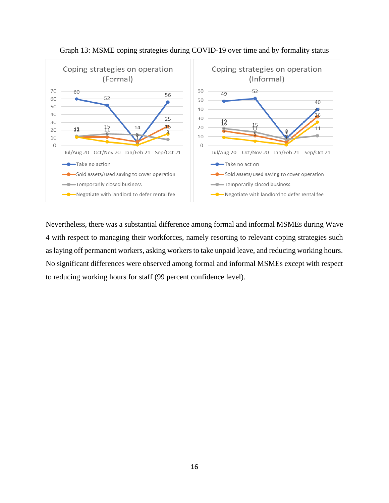



Nevertheless, there was a substantial difference among formal and informal MSMEs during Wave 4 with respect to managing their workforces, namely resorting to relevant coping strategies such as laying off permanent workers, asking workers to take unpaid leave, and reducing working hours. No significant differences were observed among formal and informal MSMEs except with respect to reducing working hours for staff (99 percent confidence level).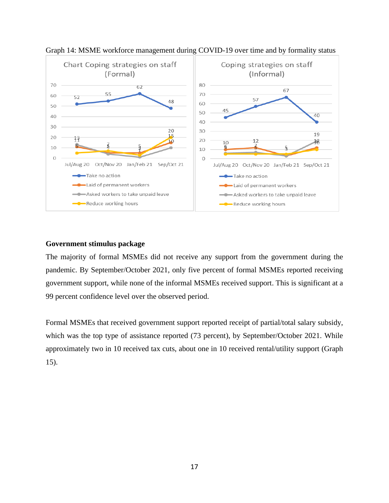

Graph 14: MSME workforce management during COVID-19 over time and by formality status

## <span id="page-16-0"></span>**Government stimulus package**

The majority of formal MSMEs did not receive any support from the government during the pandemic. By September/October 2021, only five percent of formal MSMEs reported receiving government support, while none of the informal MSMEs received support. This is significant at a 99 percent confidence level over the observed period.

Formal MSMEs that received government support reported receipt of partial/total salary subsidy, which was the top type of assistance reported (73 percent), by September/October 2021. While approximately two in 10 received tax cuts, about one in 10 received rental/utility support (Graph 15).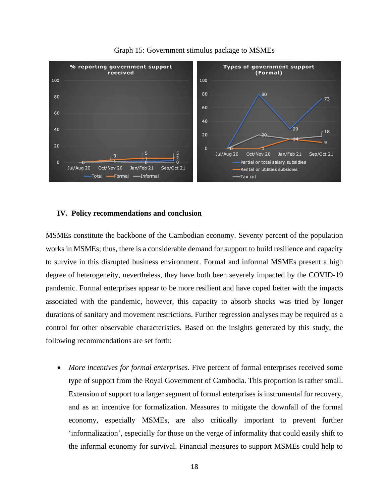

Graph 15: Government stimulus package to MSMEs

## <span id="page-17-0"></span>**IV. Policy recommendations and conclusion**

MSMEs constitute the backbone of the Cambodian economy. Seventy percent of the population works in MSMEs; thus, there is a considerable demand for support to build resilience and capacity to survive in this disrupted business environment. Formal and informal MSMEs present a high degree of heterogeneity, nevertheless, they have both been severely impacted by the COVID-19 pandemic. Formal enterprises appear to be more resilient and have coped better with the impacts associated with the pandemic, however, this capacity to absorb shocks was tried by longer durations of sanitary and movement restrictions. Further regression analyses may be required as a control for other observable characteristics. Based on the insights generated by this study, the following recommendations are set forth:

• *More incentives for formal enterprises.* Five percent of formal enterprises received some type of support from the Royal Government of Cambodia. This proportion is rather small. Extension of support to a larger segment of formal enterprises is instrumental for recovery, and as an incentive for formalization. Measures to mitigate the downfall of the formal economy, especially MSMEs, are also critically important to prevent further 'informalization', especially for those on the verge of informality that could easily shift to the informal economy for survival. Financial measures to support MSMEs could help to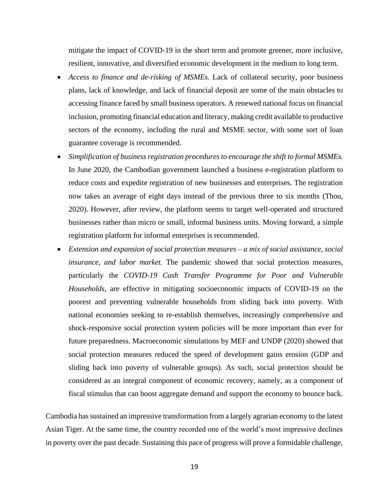mitigate the impact of COVID-19 in the short term and promote greener, more inclusive, resilient, innovative, and diversified economic development in the medium to long term.

- *Access to finance and de-risking of MSMEs.* Lack of collateral security, poor business plans, lack of knowledge, and lack of financial deposit are some of the main obstacles to accessing finance faced by small business operators. A renewed national focus on financial inclusion, promoting financial education and literacy, making credit available to productive sectors of the economy, including the rural and MSME sector, with some sort of loan guarantee coverage is recommended.
- *Simplification of business registration procedures to encourage the shift to formal MSMEs.* In June 2020, the Cambodian government launched a business e-registration platform to reduce costs and expedite registration of new businesses and enterprises. The registration now takes an average of eight days instead of the previous three to six months (Thou, 2020). However, after review, the platform seems to target well-operated and structured businesses rather than micro or small, informal business units. Moving forward, a simple registration platform for informal enterprises is recommended.
- *Extension and expansion of social protection measures – a mix of social assistance, social insurance, and labor market.* The pandemic showed that social protection measures, particularly the *COVID-19 Cash Transfer Programme for Poor and Vulnerable Households,* are effective in mitigating socioeconomic impacts of COVID-19 on the poorest and preventing vulnerable households from sliding back into poverty. With national economies seeking to re-establish themselves, increasingly comprehensive and shock-responsive social protection system policies will be more important than ever for future preparedness. Macroeconomic simulations by MEF and UNDP (2020) showed that social protection measures reduced the speed of development gains erosion (GDP and sliding back into poverty of vulnerable groups). As such, social protection should be considered as an integral component of economic recovery, namely, as a component of fiscal stimulus that can boost aggregate demand and support the economy to bounce back.

Cambodia has sustained an impressive transformation from a largely agrarian economy to the latest Asian Tiger. At the same time, the country recorded one of the world's most impressive declines in poverty over the past decade. Sustaining this pace of progress will prove a formidable challenge,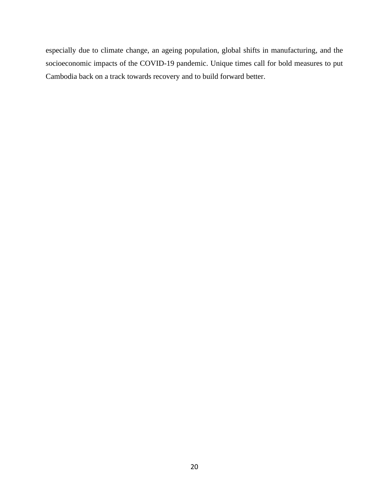especially due to climate change, an ageing population, global shifts in manufacturing, and the socioeconomic impacts of the COVID-19 pandemic. Unique times call for bold measures to put Cambodia back on a track towards recovery and to build forward better.